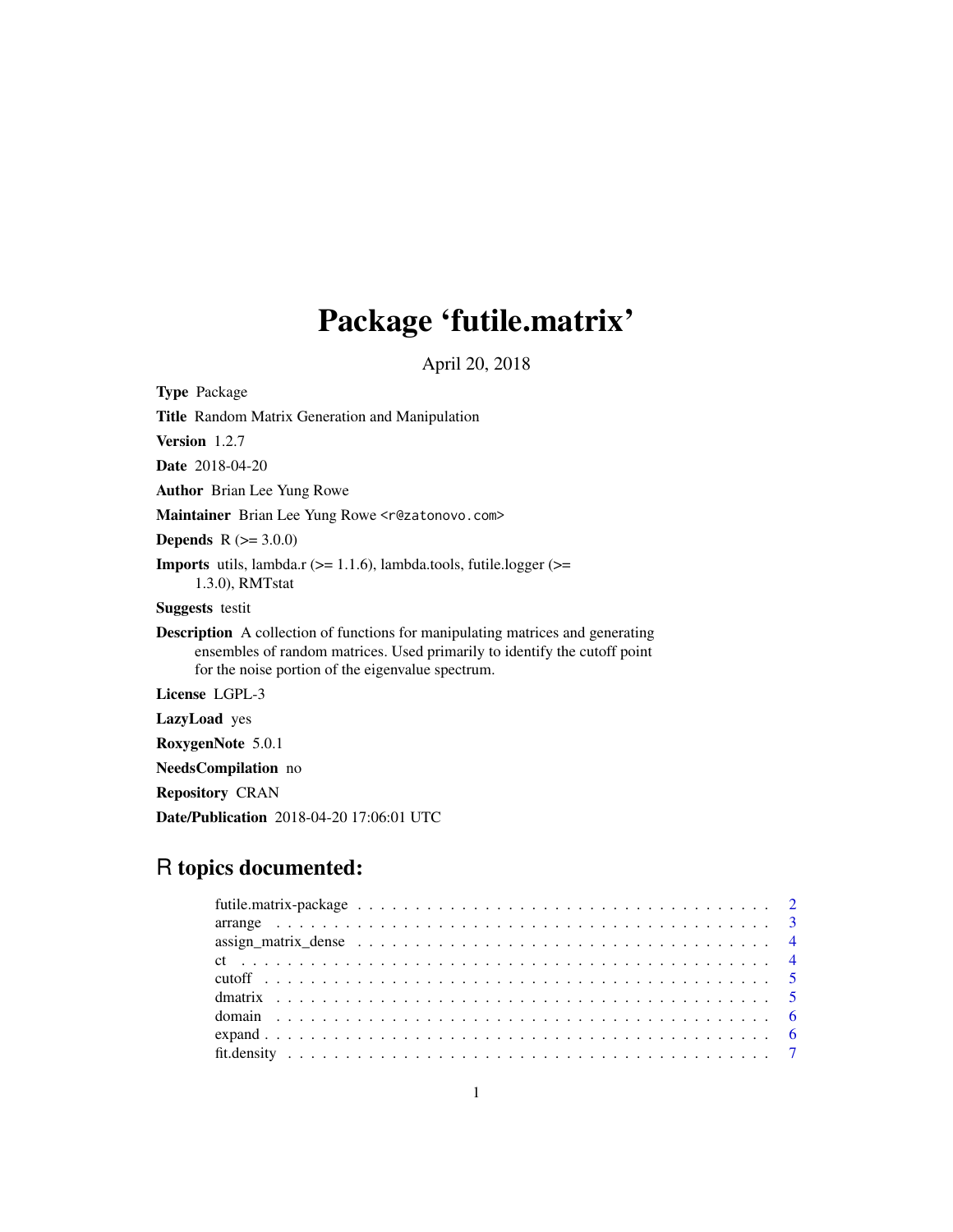# Package 'futile.matrix'

April 20, 2018

Type Package

Title Random Matrix Generation and Manipulation

Version 1.2.7

Date 2018-04-20

Author Brian Lee Yung Rowe

Maintainer Brian Lee Yung Rowe <r@zatonovo.com>

**Depends**  $R (= 3.0.0)$ 

**Imports** utils, lambda.r  $(>= 1.1.6)$ , lambda.tools, futile.logger  $(>= 1.1.6)$ 1.3.0), RMTstat

Suggests testit

Description A collection of functions for manipulating matrices and generating ensembles of random matrices. Used primarily to identify the cutoff point for the noise portion of the eigenvalue spectrum.

License LGPL-3

LazyLoad yes

RoxygenNote 5.0.1

NeedsCompilation no

Repository CRAN

Date/Publication 2018-04-20 17:06:01 UTC

# R topics documented: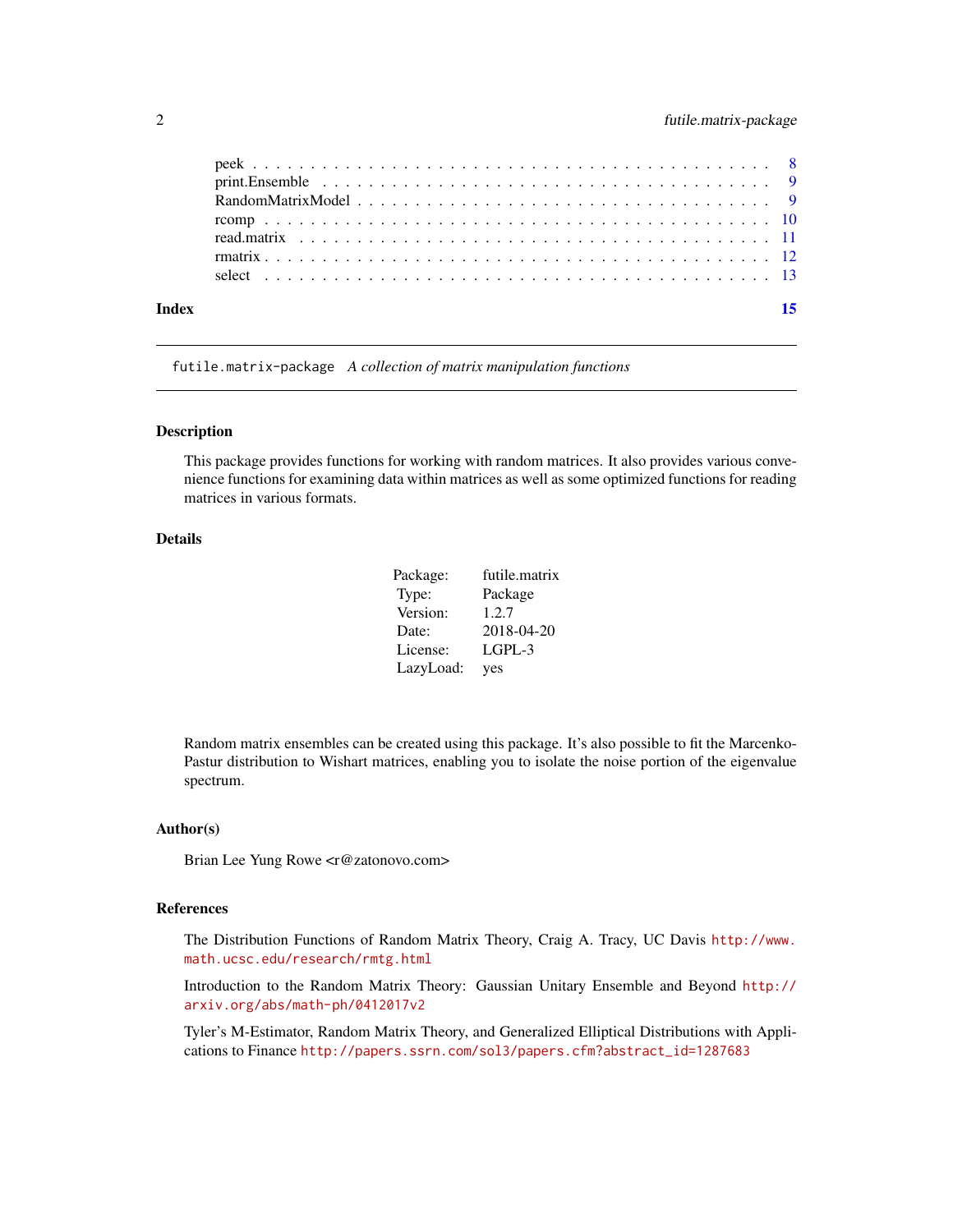<span id="page-1-0"></span>

| Index | 15 |
|-------|----|
|       |    |
|       |    |
|       |    |
|       |    |
|       |    |
|       |    |
|       |    |

futile.matrix-package *A collection of matrix manipulation functions*

#### Description

This package provides functions for working with random matrices. It also provides various convenience functions for examining data within matrices as well as some optimized functions for reading matrices in various formats.

# Details

| Package:  | futile.matrix |
|-----------|---------------|
| Type:     | Package       |
| Version:  | 1.2.7         |
| Date:     | 2018-04-20    |
| License:  | $L$ GPL-3     |
| LazyLoad: | yes           |

Random matrix ensembles can be created using this package. It's also possible to fit the Marcenko-Pastur distribution to Wishart matrices, enabling you to isolate the noise portion of the eigenvalue spectrum.

#### Author(s)

Brian Lee Yung Rowe <r@zatonovo.com>

# References

The Distribution Functions of Random Matrix Theory, Craig A. Tracy, UC Davis [http://www.](http://www.math.ucsc.edu/research/rmtg.html) [math.ucsc.edu/research/rmtg.html](http://www.math.ucsc.edu/research/rmtg.html)

Introduction to the Random Matrix Theory: Gaussian Unitary Ensemble and Beyond [http://](http://arxiv.org/abs/math-ph/0412017v2) [arxiv.org/abs/math-ph/0412017v2](http://arxiv.org/abs/math-ph/0412017v2)

Tyler's M-Estimator, Random Matrix Theory, and Generalized Elliptical Distributions with Applications to Finance [http://papers.ssrn.com/sol3/papers.cfm?abstract\\_id=1287683](http://papers.ssrn.com/sol3/papers.cfm?abstract_id=1287683)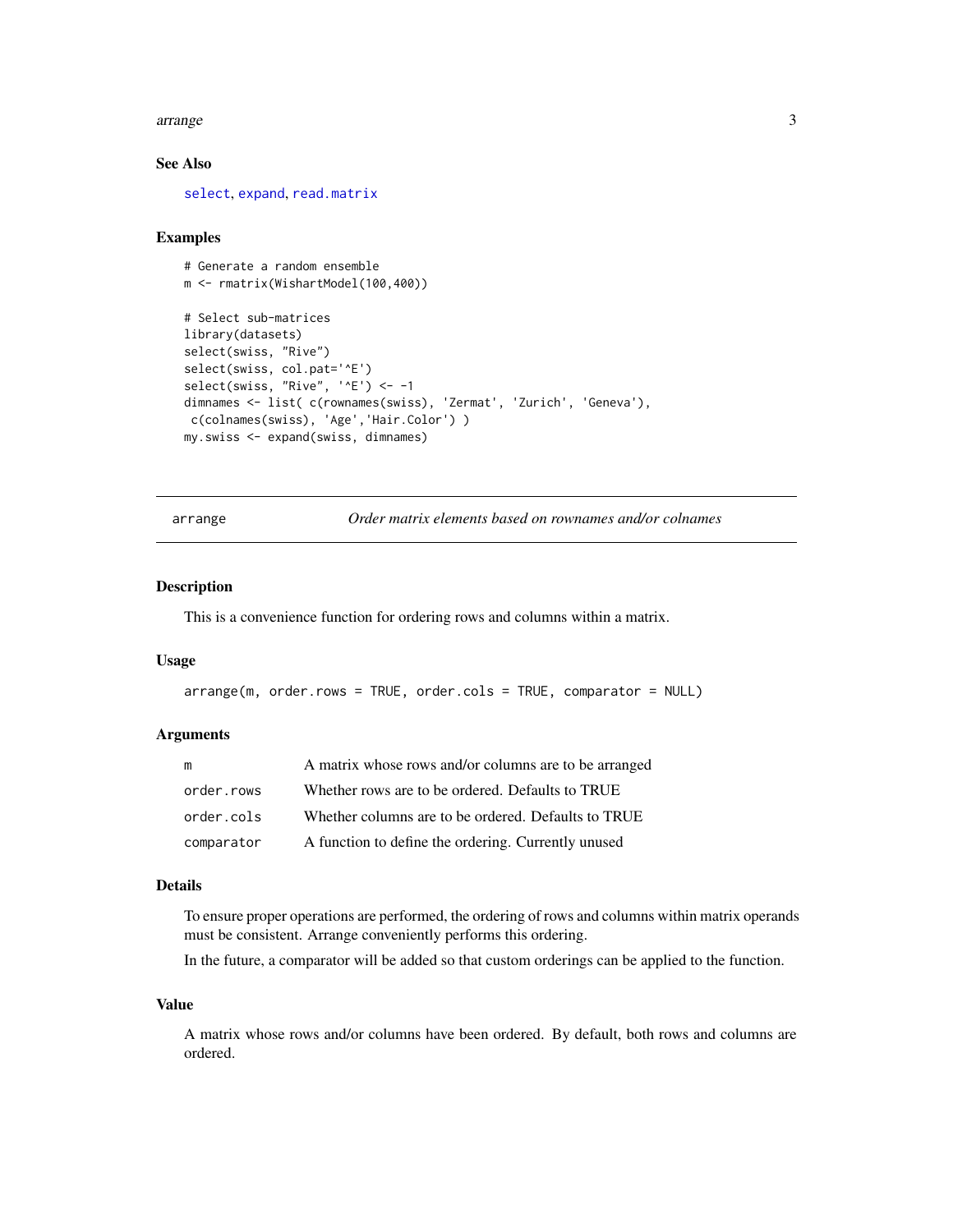#### <span id="page-2-0"></span>arrange 3

# See Also

[select](#page-12-1), [expand](#page-5-1), [read.matrix](#page-10-1)

#### Examples

```
# Generate a random ensemble
m <- rmatrix(WishartModel(100,400))
# Select sub-matrices
library(datasets)
select(swiss, "Rive")
select(swiss, col.pat='^E')
select(swiss, "Rive", '^E') <- -1
dimnames <- list( c(rownames(swiss), 'Zermat', 'Zurich', 'Geneva'),
 c(colnames(swiss), 'Age','Hair.Color') )
my.swiss <- expand(swiss, dimnames)
```
arrange *Order matrix elements based on rownames and/or colnames*

## Description

This is a convenience function for ordering rows and columns within a matrix.

#### Usage

```
arrange(m, order.rows = TRUE, order.cols = TRUE, comparator = NULL)
```
## Arguments

| m          | A matrix whose rows and/or columns are to be arranged |
|------------|-------------------------------------------------------|
| order.rows | Whether rows are to be ordered. Defaults to TRUE      |
| order.cols | Whether columns are to be ordered. Defaults to TRUE   |
| comparator | A function to define the ordering. Currently unused   |

#### Details

To ensure proper operations are performed, the ordering of rows and columns within matrix operands must be consistent. Arrange conveniently performs this ordering.

In the future, a comparator will be added so that custom orderings can be applied to the function.

## Value

A matrix whose rows and/or columns have been ordered. By default, both rows and columns are ordered.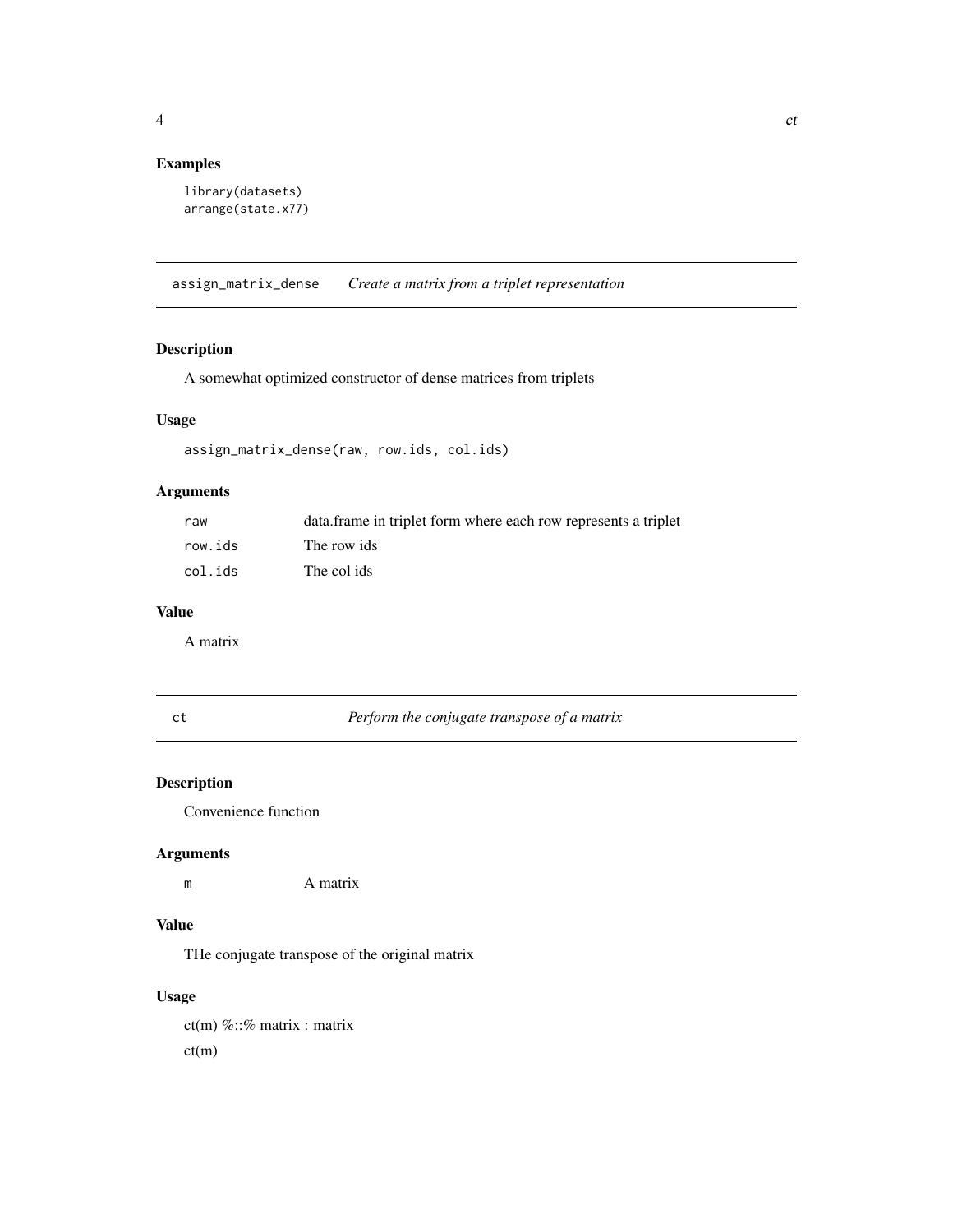# <span id="page-3-0"></span>Examples

```
library(datasets)
arrange(state.x77)
```
assign\_matrix\_dense *Create a matrix from a triplet representation*

# Description

A somewhat optimized constructor of dense matrices from triplets

# Usage

assign\_matrix\_dense(raw, row.ids, col.ids)

## Arguments

| raw     | data frame in triplet form where each row represents a triplet |
|---------|----------------------------------------------------------------|
| row.ids | The row ids                                                    |
| col.ids | The col ids                                                    |

## Value

A matrix

ct *Perform the conjugate transpose of a matrix*

# Description

Convenience function

# Arguments

m A matrix

# Value

THe conjugate transpose of the original matrix

# Usage

 $ct(m)$  %::% matrix : matrix ct(m)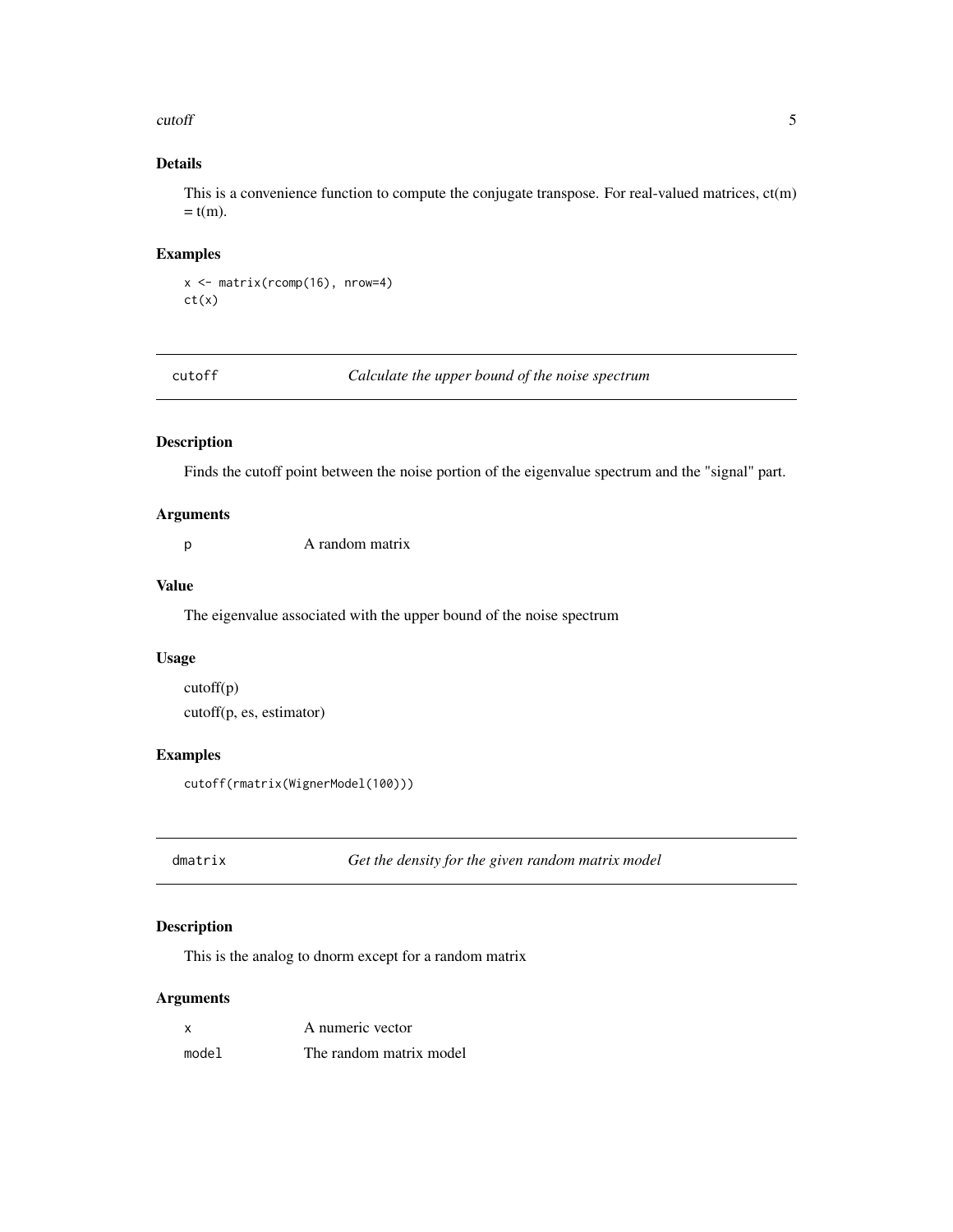#### <span id="page-4-0"></span>cutoff 5

# Details

This is a convenience function to compute the conjugate transpose. For real-valued matrices, ct(m)  $=$  t(m).

#### Examples

```
x <- matrix(rcomp(16), nrow=4)
ct(x)
```
cutoff *Calculate the upper bound of the noise spectrum*

## Description

Finds the cutoff point between the noise portion of the eigenvalue spectrum and the "signal" part.

## Arguments

p A random matrix

#### Value

The eigenvalue associated with the upper bound of the noise spectrum

# Usage

```
cutoff(p)
cutoff(p, es, estimator)
```
# Examples

```
cutoff(rmatrix(WignerModel(100)))
```
<span id="page-4-1"></span>dmatrix *Get the density for the given random matrix model*

# Description

This is the analog to dnorm except for a random matrix

# Arguments

| $\boldsymbol{\mathsf{x}}$ | A numeric vector        |
|---------------------------|-------------------------|
| model                     | The random matrix model |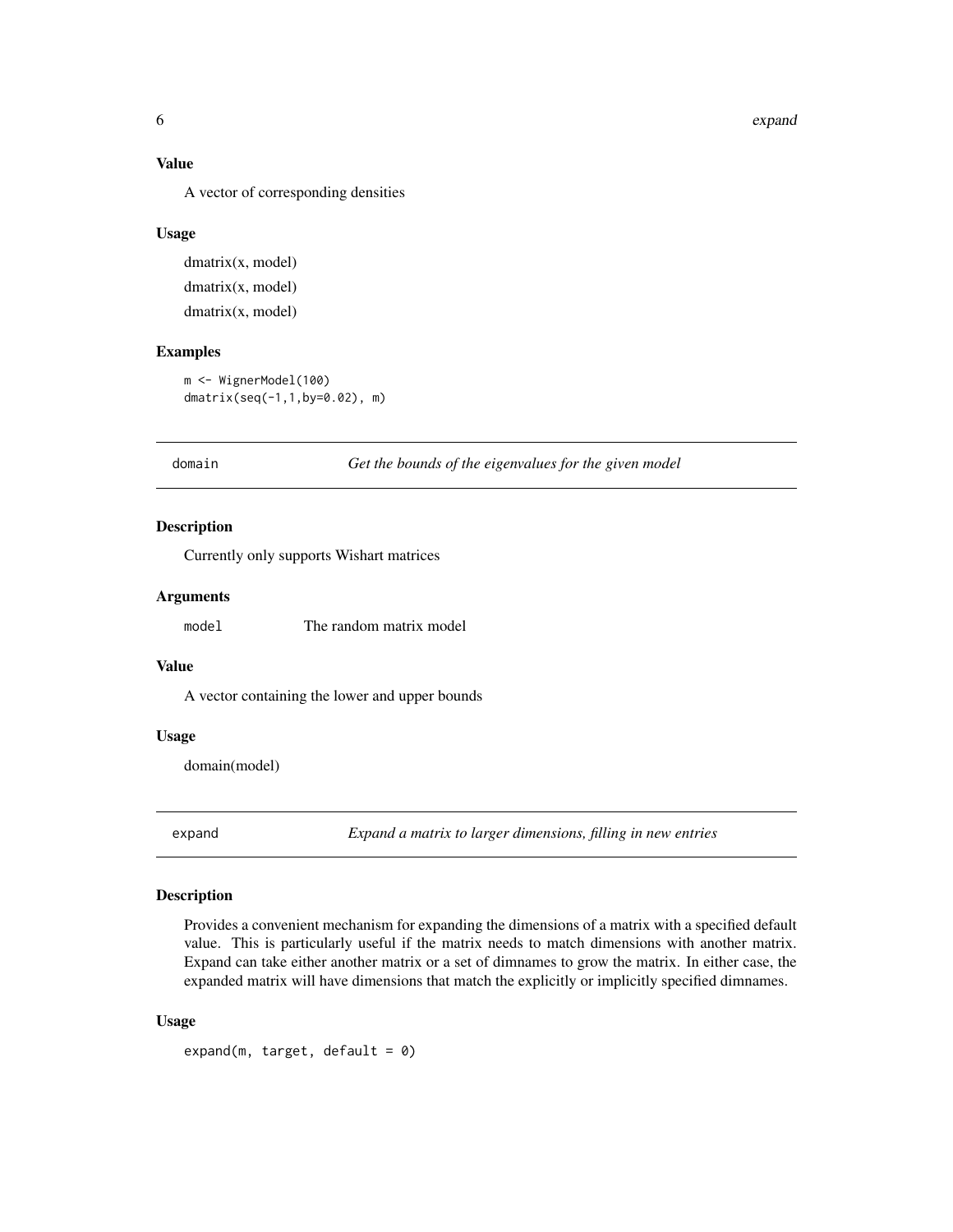#### <span id="page-5-0"></span>6 expanding the state of the contract of the contract of the contract of the contract of the contract of the contract of the contract of the contract of the contract of the contract of the contract of the contract of the c

## Value

A vector of corresponding densities

#### Usage

dmatrix(x, model) dmatrix(x, model) dmatrix(x, model)

#### Examples

m <- WignerModel(100) dmatrix(seq(-1,1,by=0.02), m)

domain *Get the bounds of the eigenvalues for the given model*

# Description

Currently only supports Wishart matrices

#### Arguments

model The random matrix model

# Value

A vector containing the lower and upper bounds

# Usage

domain(model)

<span id="page-5-1"></span>expand *Expand a matrix to larger dimensions, filling in new entries*

#### Description

Provides a convenient mechanism for expanding the dimensions of a matrix with a specified default value. This is particularly useful if the matrix needs to match dimensions with another matrix. Expand can take either another matrix or a set of dimnames to grow the matrix. In either case, the expanded matrix will have dimensions that match the explicitly or implicitly specified dimnames.

#### Usage

expand(m, target, default =  $0$ )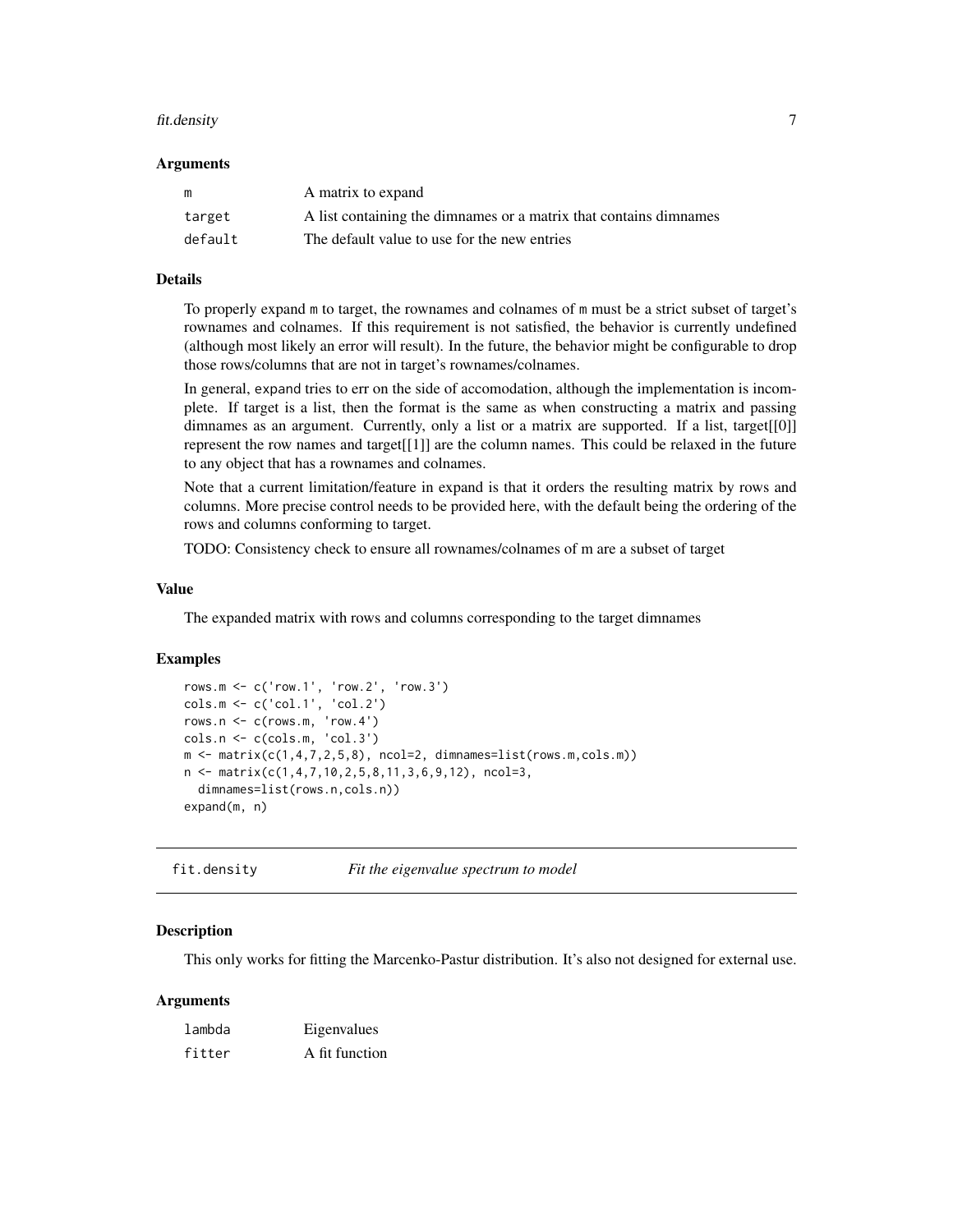#### <span id="page-6-0"></span>fit.density 7

#### Arguments

| m       | A matrix to expand                                                |
|---------|-------------------------------------------------------------------|
| target  | A list containing the dimnames or a matrix that contains dimnames |
| default | The default value to use for the new entries                      |

#### Details

To properly expand m to target, the rownames and colnames of m must be a strict subset of target's rownames and colnames. If this requirement is not satisfied, the behavior is currently undefined (although most likely an error will result). In the future, the behavior might be configurable to drop those rows/columns that are not in target's rownames/colnames.

In general, expand tries to err on the side of accomodation, although the implementation is incomplete. If target is a list, then the format is the same as when constructing a matrix and passing dimnames as an argument. Currently, only a list or a matrix are supported. If a list, target[[0]] represent the row names and target[[1]] are the column names. This could be relaxed in the future to any object that has a rownames and colnames.

Note that a current limitation/feature in expand is that it orders the resulting matrix by rows and columns. More precise control needs to be provided here, with the default being the ordering of the rows and columns conforming to target.

TODO: Consistency check to ensure all rownames/colnames of m are a subset of target

## Value

The expanded matrix with rows and columns corresponding to the target dimnames

#### Examples

```
rows.m <- c('row.1', 'row.2', 'row.3')
cols.m <- c('col.1', 'col.2')
rows.n <- c(rows.m, 'row.4')
\text{cols.n} \leftarrow \text{c}(\text{cols.m}, \text{ 'col.3'})m \leq -\text{matrix}(c(1,4,7,2,5,8), \text{ncol=2, dimnames=list(rows.m,cols.m))}n \leq - matrix(c(1,4,7,10,2,5,8,11,3,6,9,12), ncol=3,
  dimnames=list(rows.n,cols.n))
expand(m, n)
```
fit.density *Fit the eigenvalue spectrum to model*

#### Description

This only works for fitting the Marcenko-Pastur distribution. It's also not designed for external use.

## Arguments

| lambda | Eigenvalues    |
|--------|----------------|
| fitter | A fit function |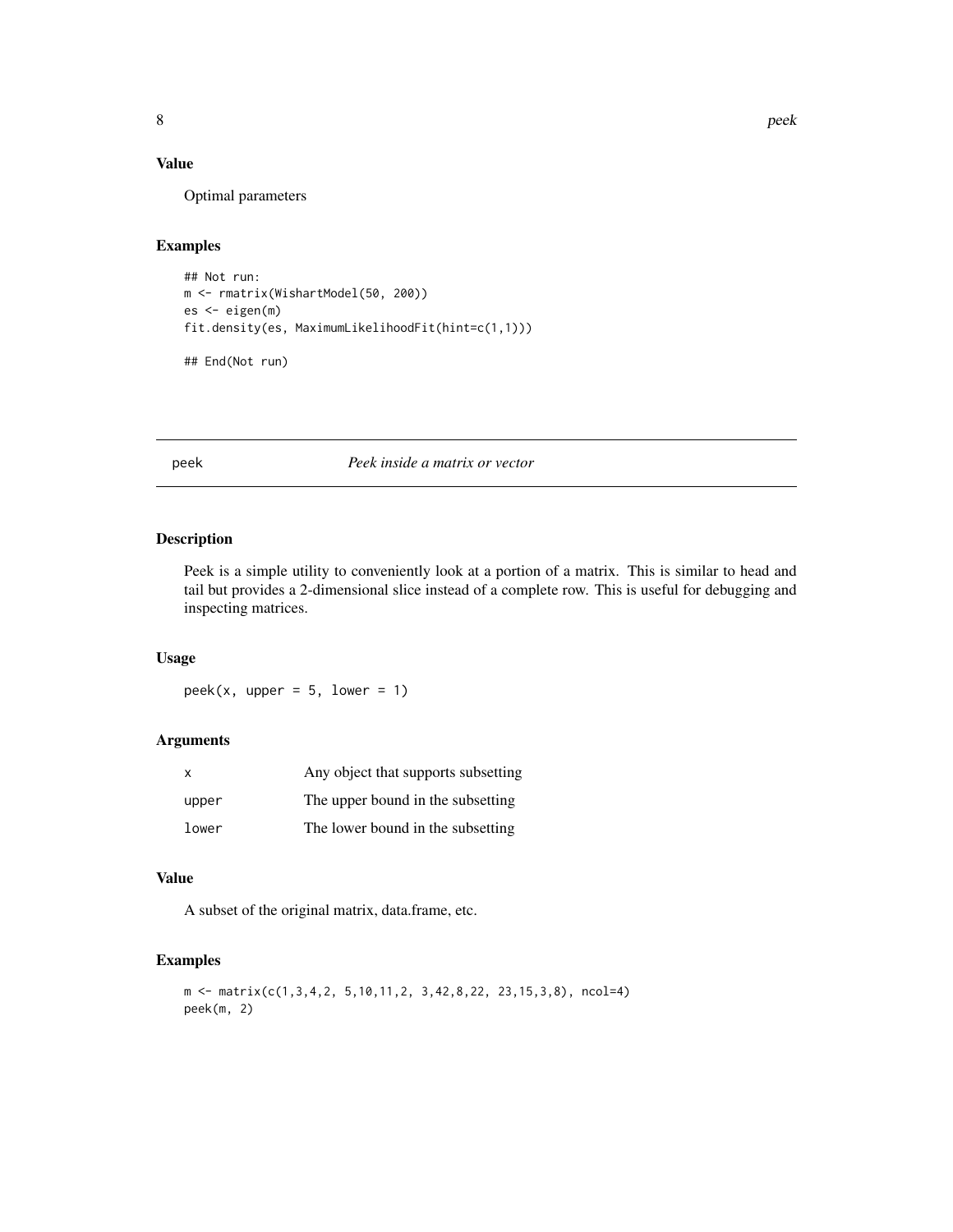# <span id="page-7-0"></span>Value

Optimal parameters

#### Examples

```
## Not run:
m <- rmatrix(WishartModel(50, 200))
es <- eigen(m)
fit.density(es, MaximumLikelihoodFit(hint=c(1,1)))
```
## End(Not run)

peek *Peek inside a matrix or vector*

# Description

Peek is a simple utility to conveniently look at a portion of a matrix. This is similar to head and tail but provides a 2-dimensional slice instead of a complete row. This is useful for debugging and inspecting matrices.

# Usage

 $peek(x, upper = 5, lower = 1)$ 

# Arguments

| $\mathsf{x}$ | Any object that supports subsetting |
|--------------|-------------------------------------|
| upper        | The upper bound in the subsetting   |
| lower        | The lower bound in the subsetting   |

#### Value

A subset of the original matrix, data.frame, etc.

# Examples

```
m <- matrix(c(1,3,4,2, 5,10,11,2, 3,42,8,22, 23,15,3,8), ncol=4)
peek(m, 2)
```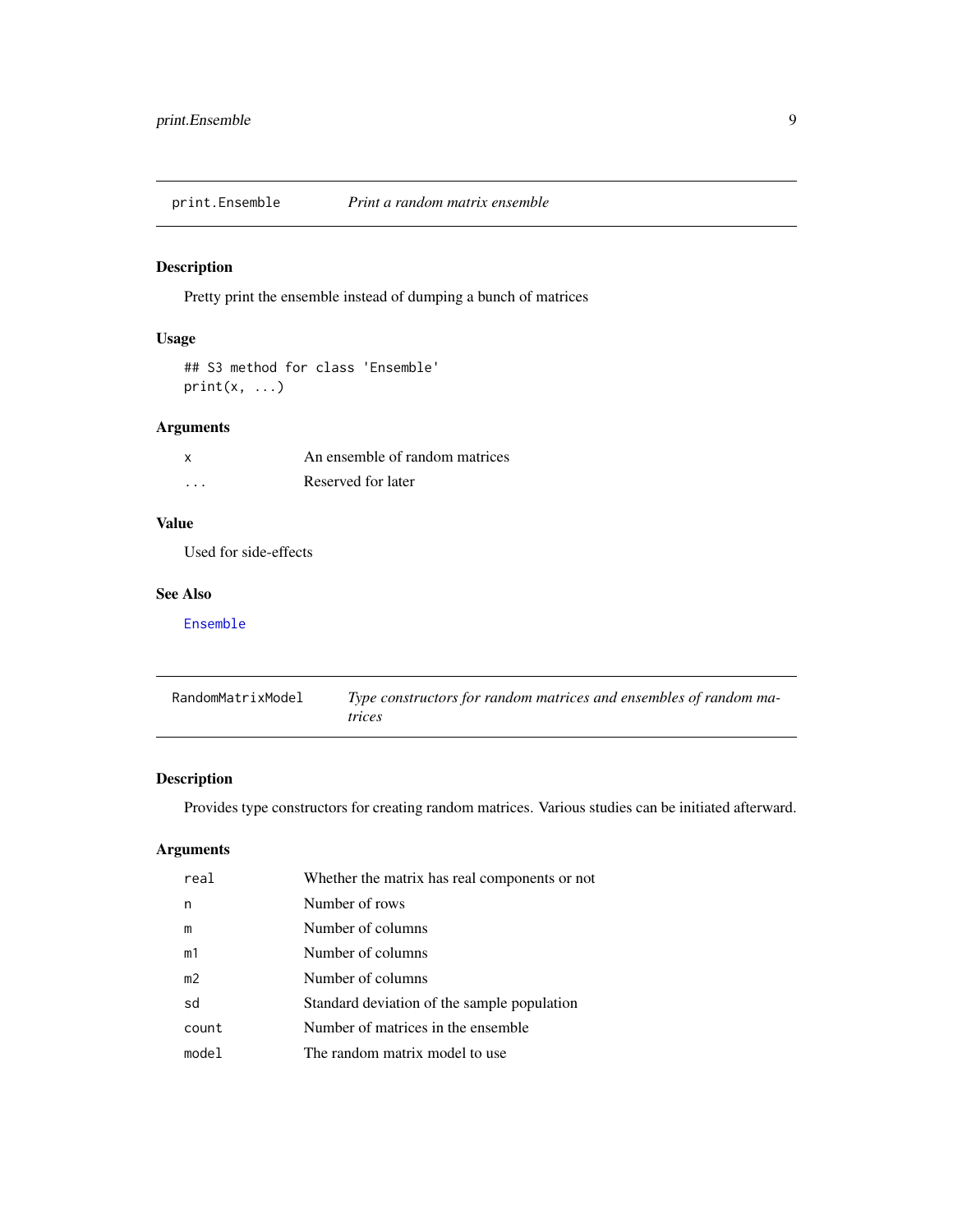<span id="page-8-0"></span>print.Ensemble *Print a random matrix ensemble*

# Description

Pretty print the ensemble instead of dumping a bunch of matrices

# Usage

```
## S3 method for class 'Ensemble'
print(x, \ldots)
```
# Arguments

|          | An ensemble of random matrices |
|----------|--------------------------------|
| $\cdots$ | Reserved for later             |

# Value

Used for side-effects

#### See Also

[Ensemble](#page-8-1)

| RandomMatrixModel | Type constructors for random matrices and ensembles of random ma-<br><i>trices</i> |
|-------------------|------------------------------------------------------------------------------------|
|                   |                                                                                    |

# <span id="page-8-1"></span>Description

Provides type constructors for creating random matrices. Various studies can be initiated afterward.

# Arguments

| real           | Whether the matrix has real components or not |
|----------------|-----------------------------------------------|
| n              | Number of rows                                |
| m              | Number of columns                             |
| m1             | Number of columns                             |
| m <sub>2</sub> | Number of columns                             |
| sd             | Standard deviation of the sample population   |
| count          | Number of matrices in the ensemble            |
| model          | The random matrix model to use                |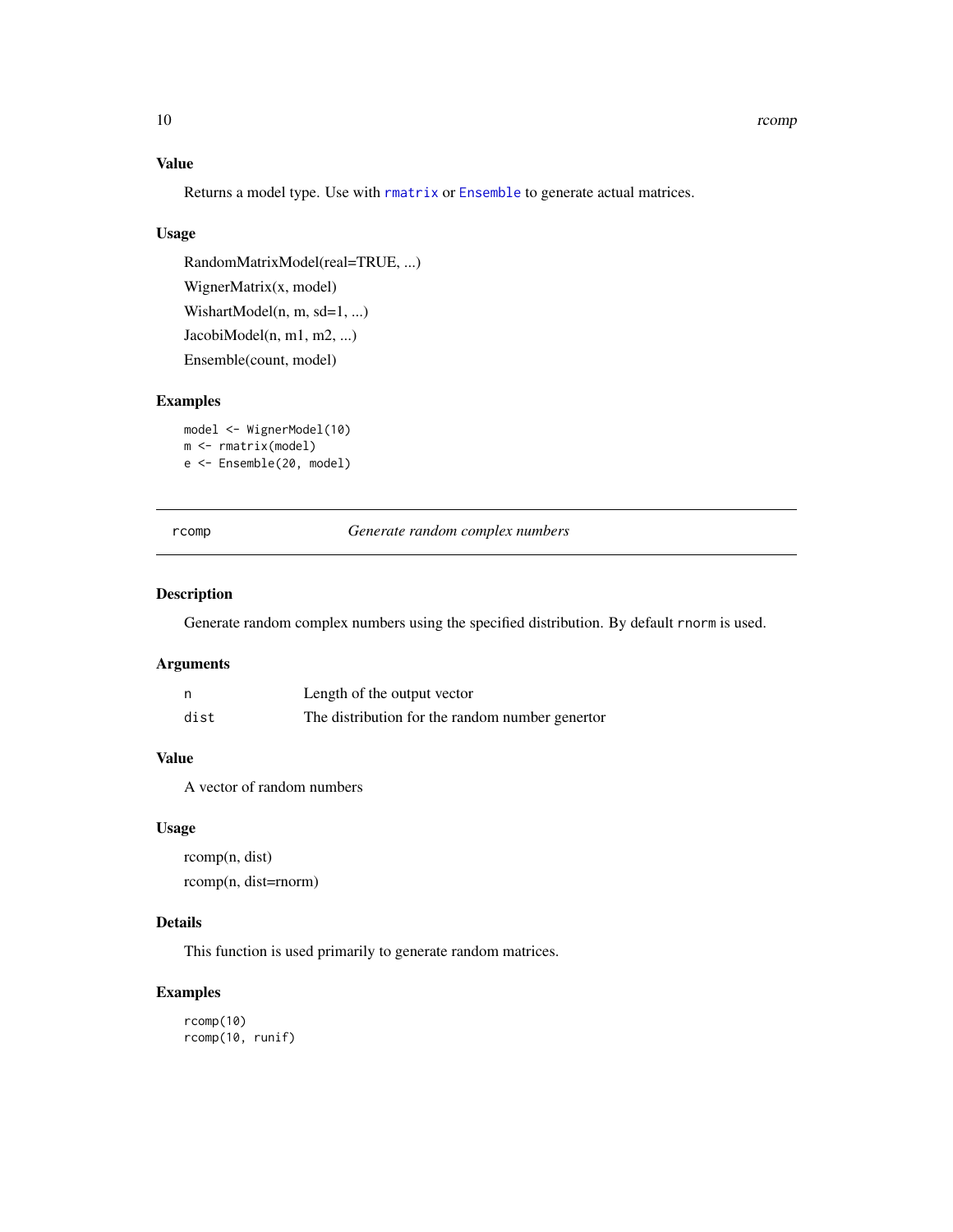# Value

Returns a model type. Use with [rmatrix](#page-11-1) or [Ensemble](#page-8-1) to generate actual matrices.

# Usage

RandomMatrixModel(real=TRUE, ...) WignerMatrix(x, model) WishartModel(n, m, sd=1, ...) JacobiModel(n, m1, m2, ...) Ensemble(count, model)

# Examples

```
model <- WignerModel(10)
m <- rmatrix(model)
e <- Ensemble(20, model)
```
rcomp *Generate random complex numbers*

#### Description

Generate random complex numbers using the specified distribution. By default rnorm is used.

#### Arguments

|      | Length of the output vector                     |
|------|-------------------------------------------------|
| dist | The distribution for the random number genertor |

# Value

A vector of random numbers

#### Usage

rcomp(n, dist) rcomp(n, dist=rnorm)

# Details

This function is used primarily to generate random matrices.

# Examples

```
rcomp(10)
rcomp(10, runif)
```
<span id="page-9-0"></span>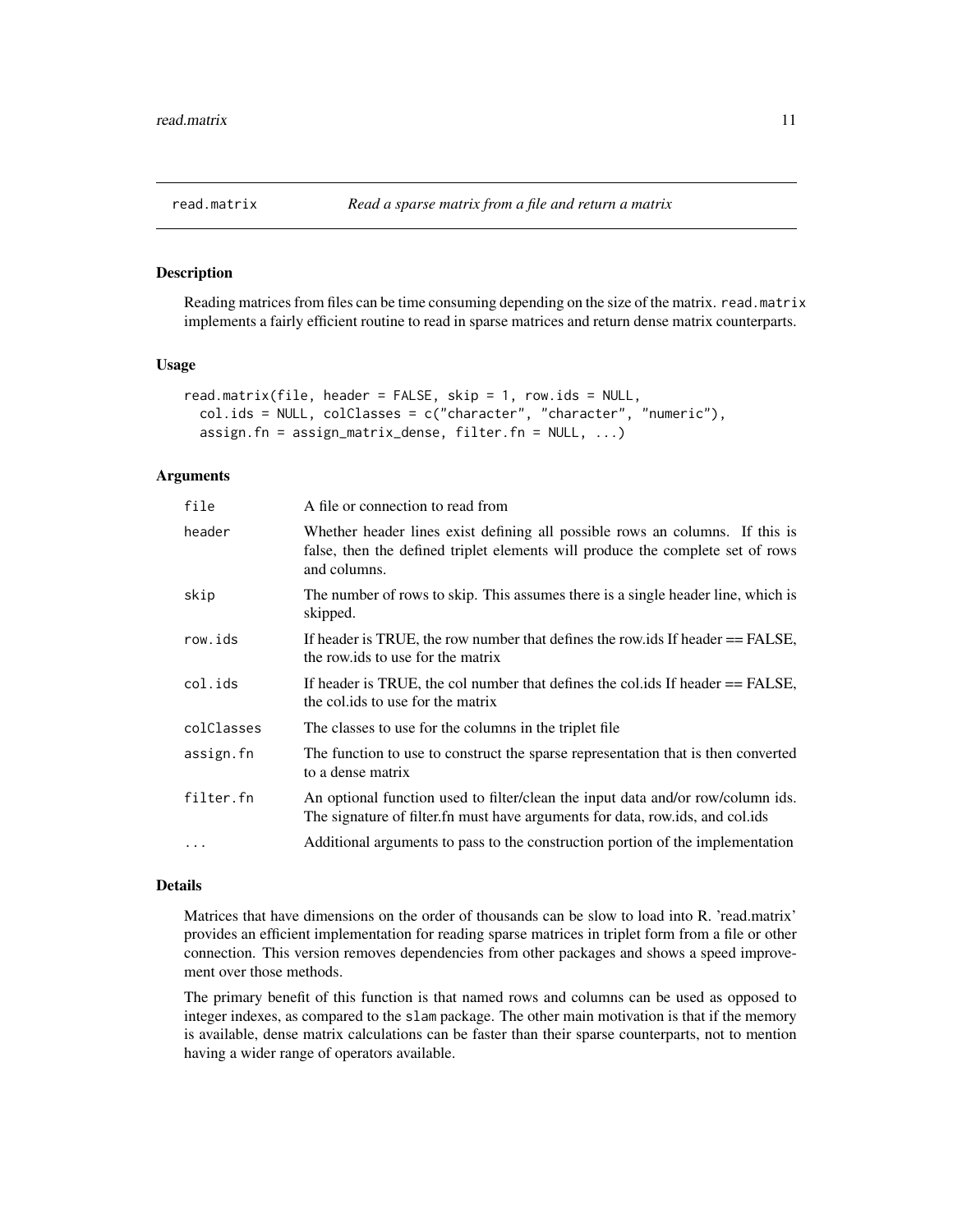# <span id="page-10-1"></span><span id="page-10-0"></span>Description

Reading matrices from files can be time consuming depending on the size of the matrix. read.matrix implements a fairly efficient routine to read in sparse matrices and return dense matrix counterparts.

#### Usage

```
read.matrix(file, header = FALSE, skip = 1, row.ids = NULL,
 col.ids = NULL, colClasses = c("character", "character", "numeric"),
 assign.fn = assign_matrix_dense, filter.fn = NULL, ...)
```
### Arguments

| file       | A file or connection to read from                                                                                                                                              |
|------------|--------------------------------------------------------------------------------------------------------------------------------------------------------------------------------|
| header     | Whether header lines exist defining all possible rows an columns. If this is<br>false, then the defined triplet elements will produce the complete set of rows<br>and columns. |
| skip       | The number of rows to skip. This assumes there is a single header line, which is<br>skipped.                                                                                   |
| row.ids    | If header is TRUE, the row number that defines the row ids If header == FALSE,<br>the row ids to use for the matrix                                                            |
| col.ids    | If header is TRUE, the col number that defines the collids If header $==$ FALSE,<br>the colids to use for the matrix                                                           |
| colClasses | The classes to use for the columns in the triplet file                                                                                                                         |
| assign.fn  | The function to use to construct the sparse representation that is then converted<br>to a dense matrix                                                                         |
| filter.fn  | An optional function used to filter/clean the input data and/or row/column ids.<br>The signature of filter. fn must have arguments for data, row.ids, and col.ids              |
| $\ddots$ . | Additional arguments to pass to the construction portion of the implementation                                                                                                 |

#### Details

Matrices that have dimensions on the order of thousands can be slow to load into R. 'read.matrix' provides an efficient implementation for reading sparse matrices in triplet form from a file or other connection. This version removes dependencies from other packages and shows a speed improvement over those methods.

The primary benefit of this function is that named rows and columns can be used as opposed to integer indexes, as compared to the slam package. The other main motivation is that if the memory is available, dense matrix calculations can be faster than their sparse counterparts, not to mention having a wider range of operators available.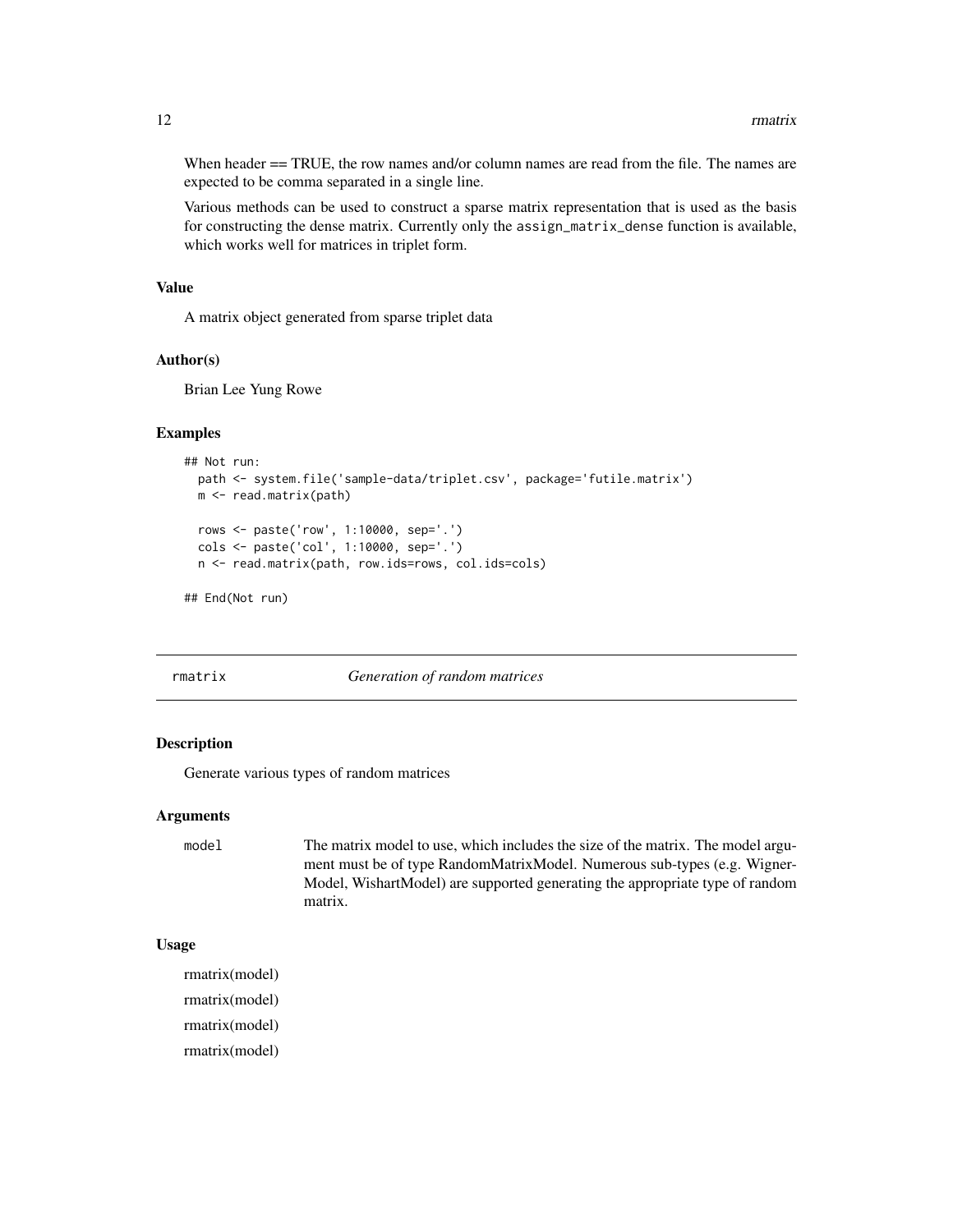<span id="page-11-0"></span>When header == TRUE, the row names and/or column names are read from the file. The names are expected to be comma separated in a single line.

Various methods can be used to construct a sparse matrix representation that is used as the basis for constructing the dense matrix. Currently only the assign\_matrix\_dense function is available, which works well for matrices in triplet form.

#### Value

A matrix object generated from sparse triplet data

#### Author(s)

Brian Lee Yung Rowe

#### Examples

```
## Not run:
 path <- system.file('sample-data/triplet.csv', package='futile.matrix')
 m <- read.matrix(path)
 rows <- paste('row', 1:10000, sep='.')
 cols <- paste('col', 1:10000, sep='.')
 n <- read.matrix(path, row.ids=rows, col.ids=cols)
```

```
## End(Not run)
```
<span id="page-11-1"></span>

#### rmatrix *Generation of random matrices*

## Description

Generate various types of random matrices

#### Arguments

model The matrix model to use, which includes the size of the matrix. The model argument must be of type RandomMatrixModel. Numerous sub-types (e.g. Wigner-Model, WishartModel) are supported generating the appropriate type of random matrix.

#### Usage

rmatrix(model) rmatrix(model) rmatrix(model) rmatrix(model)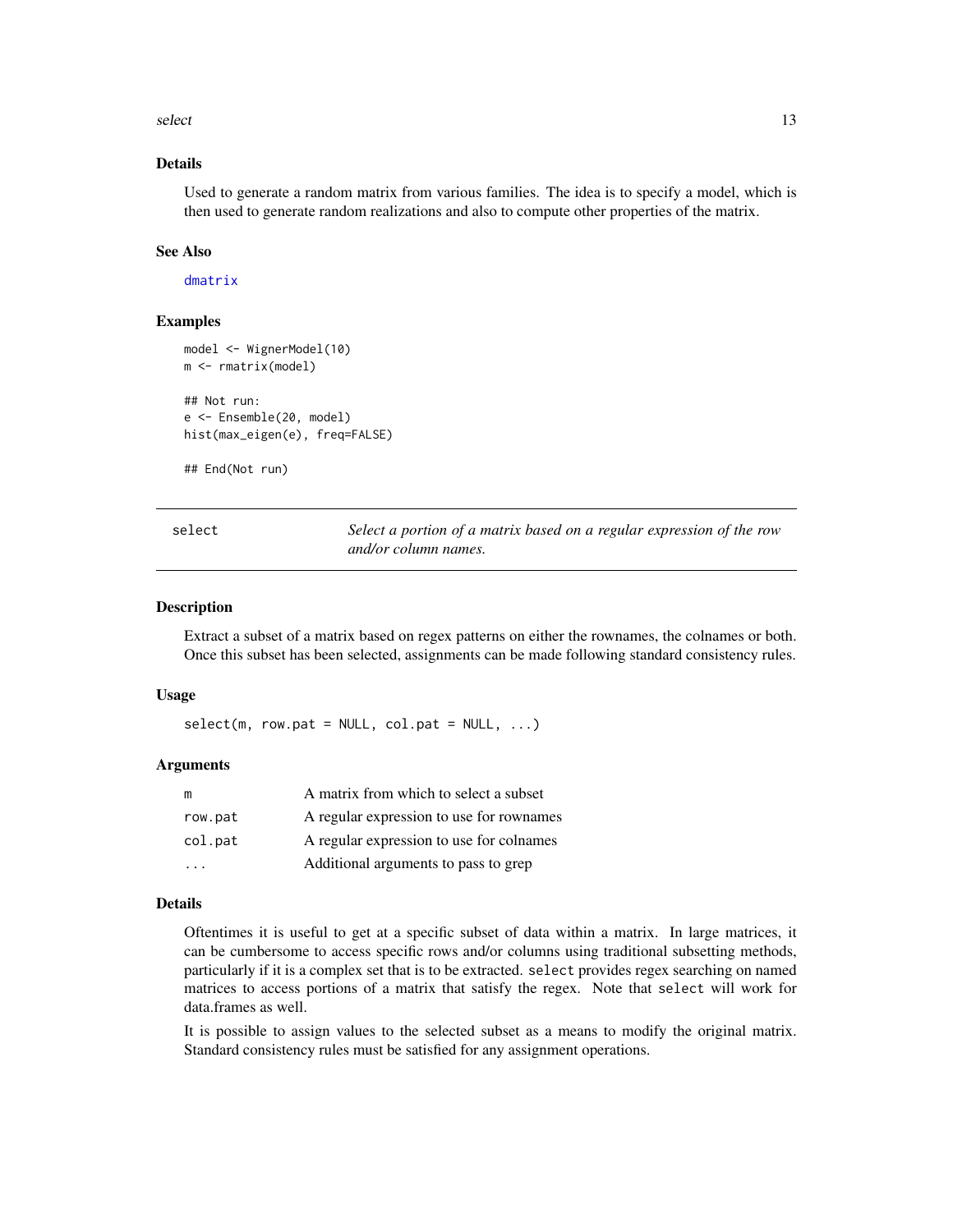<span id="page-12-0"></span> $s$ elect  $13$ 

# Details

Used to generate a random matrix from various families. The idea is to specify a model, which is then used to generate random realizations and also to compute other properties of the matrix.

#### See Also

[dmatrix](#page-4-1)

## Examples

```
model <- WignerModel(10)
m <- rmatrix(model)
## Not run:
e <- Ensemble(20, model)
hist(max_eigen(e), freq=FALSE)
```
## End(Not run)

<span id="page-12-1"></span>select *Select a portion of a matrix based on a regular expression of the row and/or column names.*

#### Description

Extract a subset of a matrix based on regex patterns on either the rownames, the colnames or both. Once this subset has been selected, assignments can be made following standard consistency rules.

#### Usage

 $select(m, row.path = NULL, col.path = NULL, ...)$ 

#### Arguments

| m       | A matrix from which to select a subset   |
|---------|------------------------------------------|
| row.pat | A regular expression to use for rownames |
| col.pat | A regular expression to use for colnames |
|         | Additional arguments to pass to grep     |

#### Details

Oftentimes it is useful to get at a specific subset of data within a matrix. In large matrices, it can be cumbersome to access specific rows and/or columns using traditional subsetting methods, particularly if it is a complex set that is to be extracted. select provides regex searching on named matrices to access portions of a matrix that satisfy the regex. Note that select will work for data.frames as well.

It is possible to assign values to the selected subset as a means to modify the original matrix. Standard consistency rules must be satisfied for any assignment operations.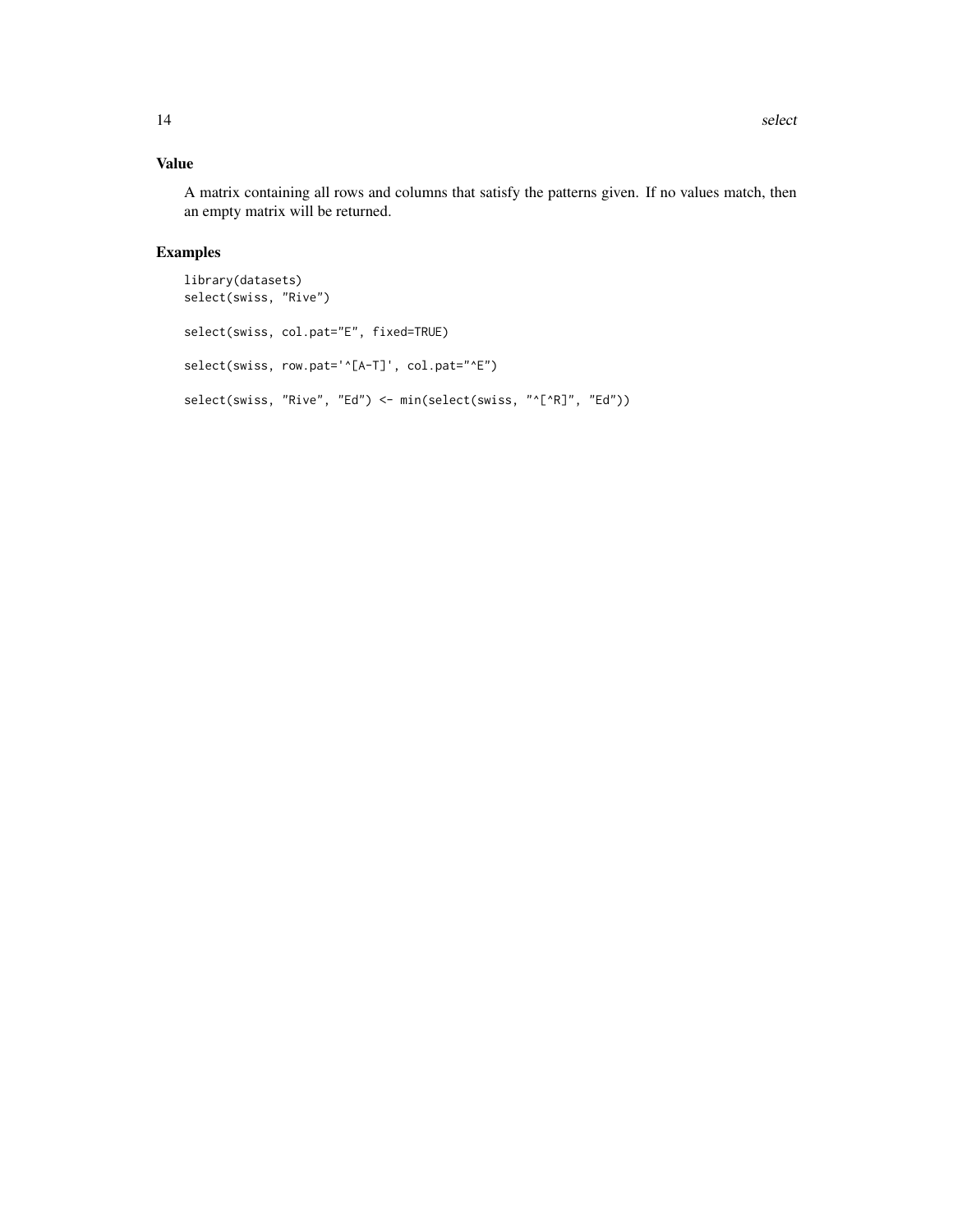# Value

A matrix containing all rows and columns that satisfy the patterns given. If no values match, then an empty matrix will be returned.

# Examples

```
library(datasets)
select(swiss, "Rive")
select(swiss, col.pat="E", fixed=TRUE)
select(swiss, row.pat='^[A-T]', col.pat="^E")
select(swiss, "Rive", "Ed") <- min(select(swiss, "^[^R]", "Ed"))
```